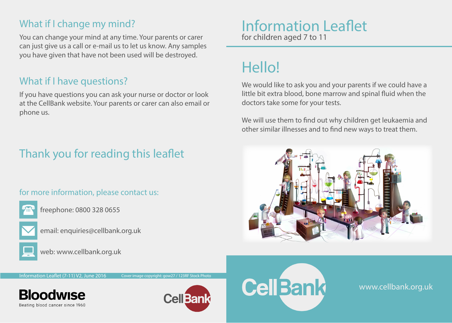### What if I change my mind?

You can change your mind at any time. Your parents or carer can just give us a call or e-mail us to let us know. Any samples you have given that have not been used will be destroyed.

#### What if I have questions?

If you have questions you can ask your nurse or doctor or look at the CellBank website. Your parents or carer can also email or phone us.

## Thank you for reading this leaflet

#### for more information, please contact us:



freephone: 0800 328 0655



email: enquiries@cellbank.org.uk



web: www.cellbank.org.uk

#### Information Leaflet for children aged 7 to 11

# Hello!

We would like to ask you and your parents if we could have a little bit extra blood, bone marrow and spinal fluid when the doctors take some for your tests.

We will use them to find out why children get leukaemia and other similar illnesses and to find new ways to treat them.



Information Leaflet (7-11) V2, June 2016 Cover image copyright: gow27 / 123RF Stock Photo

**Bloodwise** Beating blood cancer since 1960





www.cellbank.org.uk